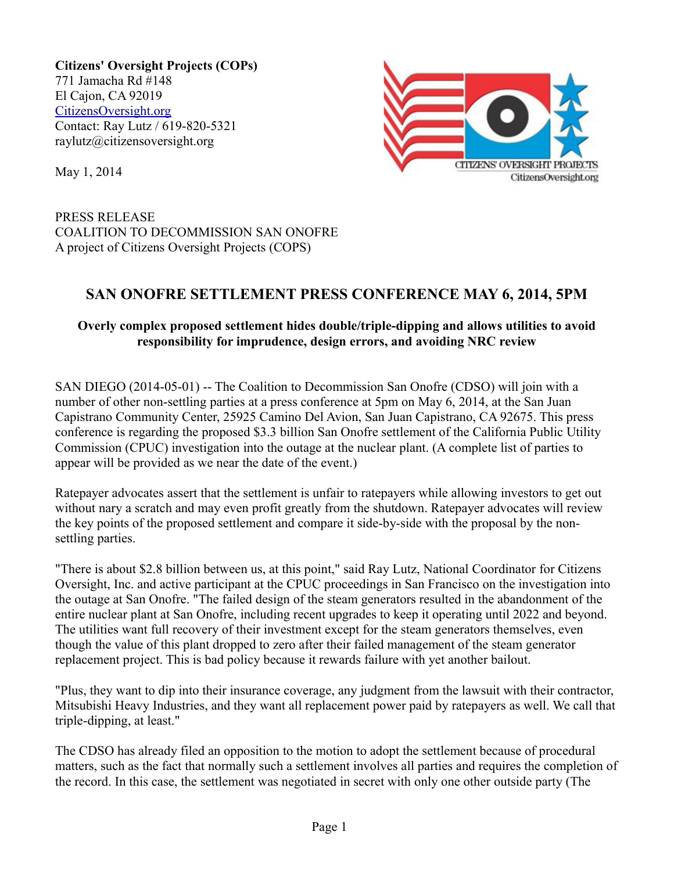**Citizens' Oversight Projects (COPs)** 771 Jamacha Rd #148 El Cajon, CA 92019 [CitizensOversight.org](http://www.CitizensOversight.org/) Contact: Ray Lutz / 619-820-5321 raylutz@citizensoversight.org



May 1, 2014

PRESS RELEASE COALITION TO DECOMMISSION SAN ONOFRE A project of Citizens Oversight Projects (COPS)

## **SAN ONOFRE SETTLEMENT PRESS CONFERENCE MAY 6, 2014, 5PM**

## **Overly complex proposed settlement hides double/triple-dipping and allows utilities to avoid responsibility for imprudence, design errors, and avoiding NRC review**

SAN DIEGO (2014-05-01) -- The Coalition to Decommission San Onofre (CDSO) will join with a number of other non-settling parties at a press conference at 5pm on May 6, 2014, at the San Juan Capistrano Community Center, 25925 Camino Del Avion, San Juan Capistrano, CA 92675. This press conference is regarding the proposed \$3.3 billion San Onofre settlement of the California Public Utility Commission (CPUC) investigation into the outage at the nuclear plant. (A complete list of parties to appear will be provided as we near the date of the event.)

Ratepayer advocates assert that the settlement is unfair to ratepayers while allowing investors to get out without nary a scratch and may even profit greatly from the shutdown. Ratepayer advocates will review the key points of the proposed settlement and compare it side-by-side with the proposal by the nonsettling parties.

"There is about \$2.8 billion between us, at this point," said Ray Lutz, National Coordinator for Citizens Oversight, Inc. and active participant at the CPUC proceedings in San Francisco on the investigation into the outage at San Onofre. "The failed design of the steam generators resulted in the abandonment of the entire nuclear plant at San Onofre, including recent upgrades to keep it operating until 2022 and beyond. The utilities want full recovery of their investment except for the steam generators themselves, even though the value of this plant dropped to zero after their failed management of the steam generator replacement project. This is bad policy because it rewards failure with yet another bailout.

"Plus, they want to dip into their insurance coverage, any judgment from the lawsuit with their contractor, Mitsubishi Heavy Industries, and they want all replacement power paid by ratepayers as well. We call that triple-dipping, at least."

The CDSO has already filed an opposition to the motion to adopt the settlement because of procedural matters, such as the fact that normally such a settlement involves all parties and requires the completion of the record. In this case, the settlement was negotiated in secret with only one other outside party (The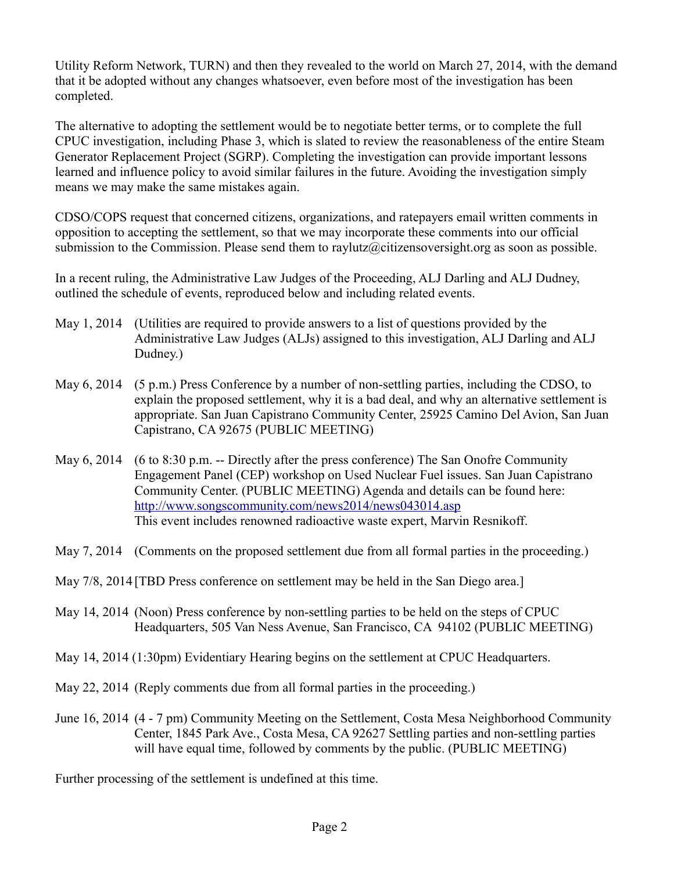Utility Reform Network, TURN) and then they revealed to the world on March 27, 2014, with the demand that it be adopted without any changes whatsoever, even before most of the investigation has been completed.

The alternative to adopting the settlement would be to negotiate better terms, or to complete the full CPUC investigation, including Phase 3, which is slated to review the reasonableness of the entire Steam Generator Replacement Project (SGRP). Completing the investigation can provide important lessons learned and influence policy to avoid similar failures in the future. Avoiding the investigation simply means we may make the same mistakes again.

CDSO/COPS request that concerned citizens, organizations, and ratepayers email written comments in opposition to accepting the settlement, so that we may incorporate these comments into our official submission to the Commission. Please send them to raylutz@citizensoversight.org as soon as possible.

In a recent ruling, the Administrative Law Judges of the Proceeding, ALJ Darling and ALJ Dudney, outlined the schedule of events, reproduced below and including related events.

- May 1, 2014 (Utilities are required to provide answers to a list of questions provided by the Administrative Law Judges (ALJs) assigned to this investigation, ALJ Darling and ALJ Dudney.)
- May 6, 2014 (5 p.m.) Press Conference by a number of non-settling parties, including the CDSO, to explain the proposed settlement, why it is a bad deal, and why an alternative settlement is appropriate. San Juan Capistrano Community Center, 25925 Camino Del Avion, San Juan Capistrano, CA 92675 (PUBLIC MEETING)
- May 6, 2014 (6 to 8:30 p.m. -- Directly after the press conference) The San Onofre Community Engagement Panel (CEP) workshop on Used Nuclear Fuel issues. San Juan Capistrano Community Center. (PUBLIC MEETING) Agenda and details can be found here: <http://www.songscommunity.com/news2014/news043014.asp> This event includes renowned radioactive waste expert, Marvin Resnikoff.
- May 7, 2014 (Comments on the proposed settlement due from all formal parties in the proceeding.)
- May 7/8, 2014 [TBD Press conference on settlement may be held in the San Diego area.]
- May 14, 2014 (Noon) Press conference by non-settling parties to be held on the steps of CPUC Headquarters, 505 Van Ness Avenue, San Francisco, CA 94102 (PUBLIC MEETING)
- May 14, 2014 (1:30pm) Evidentiary Hearing begins on the settlement at CPUC Headquarters.
- May 22, 2014 (Reply comments due from all formal parties in the proceeding.)
- June 16, 2014 (4 7 pm) Community Meeting on the Settlement, Costa Mesa Neighborhood Community Center, 1845 Park Ave., Costa Mesa, CA 92627 Settling parties and non-settling parties will have equal time, followed by comments by the public. (PUBLIC MEETING)

Further processing of the settlement is undefined at this time.